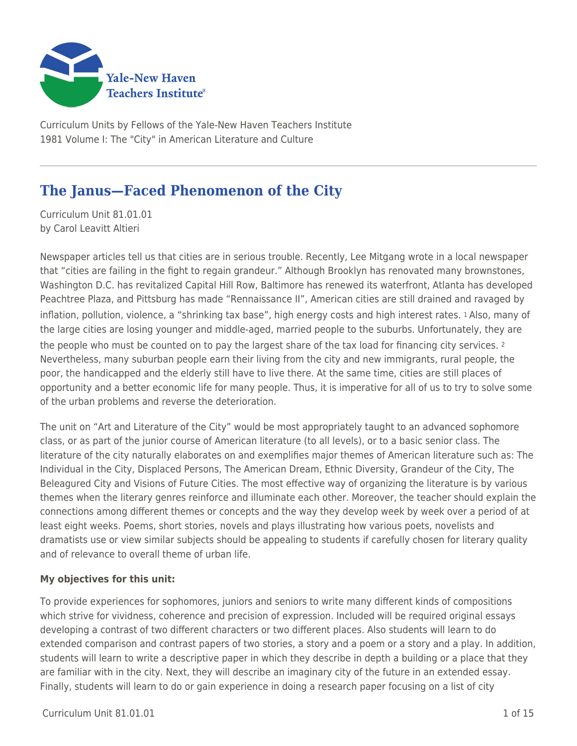

Curriculum Units by Fellows of the Yale-New Haven Teachers Institute 1981 Volume I: The "City" in American Literature and Culture

# **The Janus—Faced Phenomenon of the City**

Curriculum Unit 81.01.01 by Carol Leavitt Altieri

Newspaper articles tell us that cities are in serious trouble. Recently, Lee Mitgang wrote in a local newspaper that "cities are failing in the fight to regain grandeur." Although Brooklyn has renovated many brownstones, Washington D.C. has revitalized Capital Hill Row, Baltimore has renewed its waterfront, Atlanta has developed Peachtree Plaza, and Pittsburg has made "Rennaissance II", American cities are still drained and ravaged by inflation, pollution, violence, a "shrinking tax base", high energy costs and high interest rates. 1 Also, many of the large cities are losing younger and middle-aged, married people to the suburbs. Unfortunately, they are the people who must be counted on to pay the largest share of the tax load for financing city services. <sup>2</sup> Nevertheless, many suburban people earn their living from the city and new immigrants, rural people, the poor, the handicapped and the elderly still have to live there. At the same time, cities are still places of opportunity and a better economic life for many people. Thus, it is imperative for all of us to try to solve some of the urban problems and reverse the deterioration.

The unit on "Art and Literature of the City" would be most appropriately taught to an advanced sophomore class, or as part of the junior course of American literature (to all levels), or to a basic senior class. The literature of the city naturally elaborates on and exemplifies major themes of American literature such as: The Individual in the City, Displaced Persons, The American Dream, Ethnic Diversity, Grandeur of the City, The Beleagured City and Visions of Future Cities. The most effective way of organizing the literature is by various themes when the literary genres reinforce and illuminate each other. Moreover, the teacher should explain the connections among different themes or concepts and the way they develop week by week over a period of at least eight weeks. Poems, short stories, novels and plays illustrating how various poets, novelists and dramatists use or view similar subjects should be appealing to students if carefully chosen for literary quality and of relevance to overall theme of urban life.

#### **My objectives for this unit:**

To provide experiences for sophomores, juniors and seniors to write many different kinds of compositions which strive for vividness, coherence and precision of expression. Included will be required original essays developing a contrast of two different characters or two different places. Also students will learn to do extended comparison and contrast papers of two stories, a story and a poem or a story and a play. In addition, students will learn to write a descriptive paper in which they describe in depth a building or a place that they are familiar with in the city. Next, they will describe an imaginary city of the future in an extended essay. Finally, students will learn to do or gain experience in doing a research paper focusing on a list of city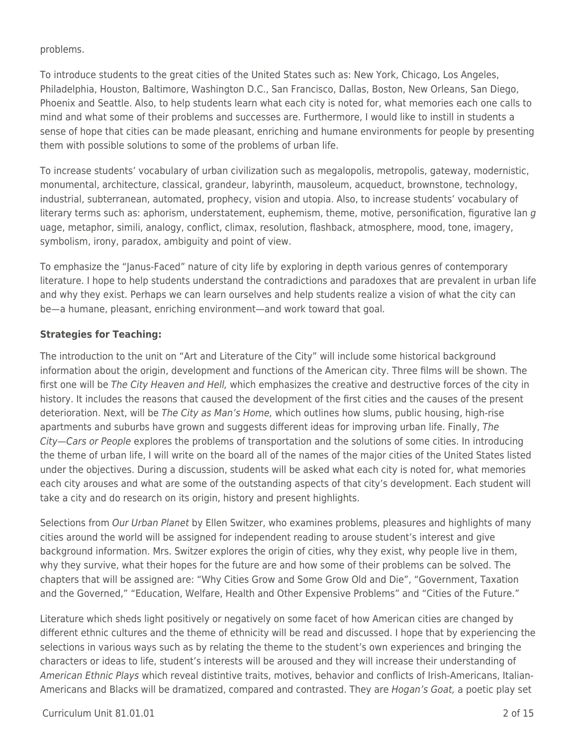problems.

To introduce students to the great cities of the United States such as: New York, Chicago, Los Angeles, Philadelphia, Houston, Baltimore, Washington D.C., San Francisco, Dallas, Boston, New Orleans, San Diego, Phoenix and Seattle. Also, to help students learn what each city is noted for, what memories each one calls to mind and what some of their problems and successes are. Furthermore, I would like to instill in students a sense of hope that cities can be made pleasant, enriching and humane environments for people by presenting them with possible solutions to some of the problems of urban life.

To increase students' vocabulary of urban civilization such as megalopolis, metropolis, gateway, modernistic, monumental, architecture, classical, grandeur, labyrinth, mausoleum, acqueduct, brownstone, technology, industrial, subterranean, automated, prophecy, vision and utopia. Also, to increase students' vocabulary of literary terms such as: aphorism, understatement, euphemism, theme, motive, personification, figurative lan  $q$ uage, metaphor, simili, analogy, conflict, climax, resolution, flashback, atmosphere, mood, tone, imagery, symbolism, irony, paradox, ambiguity and point of view.

To emphasize the "Janus-Faced" nature of city life by exploring in depth various genres of contemporary literature. I hope to help students understand the contradictions and paradoxes that are prevalent in urban life and why they exist. Perhaps we can learn ourselves and help students realize a vision of what the city can be—a humane, pleasant, enriching environment—and work toward that goal.

#### **Strategies for Teaching:**

The introduction to the unit on "Art and Literature of the City" will include some historical background information about the origin, development and functions of the American city. Three films will be shown. The first one will be The City Heaven and Hell, which emphasizes the creative and destructive forces of the city in history. It includes the reasons that caused the development of the first cities and the causes of the present deterioration. Next, will be The City as Man's Home, which outlines how slums, public housing, high-rise apartments and suburbs have grown and suggests different ideas for improving urban life. Finally, The City—Cars or People explores the problems of transportation and the solutions of some cities. In introducing the theme of urban life, I will write on the board all of the names of the major cities of the United States listed under the objectives. During a discussion, students will be asked what each city is noted for, what memories each city arouses and what are some of the outstanding aspects of that city's development. Each student will take a city and do research on its origin, history and present highlights.

Selections from Our Urban Planet by Ellen Switzer, who examines problems, pleasures and highlights of many cities around the world will be assigned for independent reading to arouse student's interest and give background information. Mrs. Switzer explores the origin of cities, why they exist, why people live in them, why they survive, what their hopes for the future are and how some of their problems can be solved. The chapters that will be assigned are: "Why Cities Grow and Some Grow Old and Die", "Government, Taxation and the Governed," "Education, Welfare, Health and Other Expensive Problems" and "Cities of the Future."

Literature which sheds light positively or negatively on some facet of how American cities are changed by different ethnic cultures and the theme of ethnicity will be read and discussed. I hope that by experiencing the selections in various ways such as by relating the theme to the student's own experiences and bringing the characters or ideas to life, student's interests will be aroused and they will increase their understanding of American Ethnic Plays which reveal distintive traits, motives, behavior and conflicts of Irish-Americans, Italian-Americans and Blacks will be dramatized, compared and contrasted. They are Hogan's Goat, a poetic play set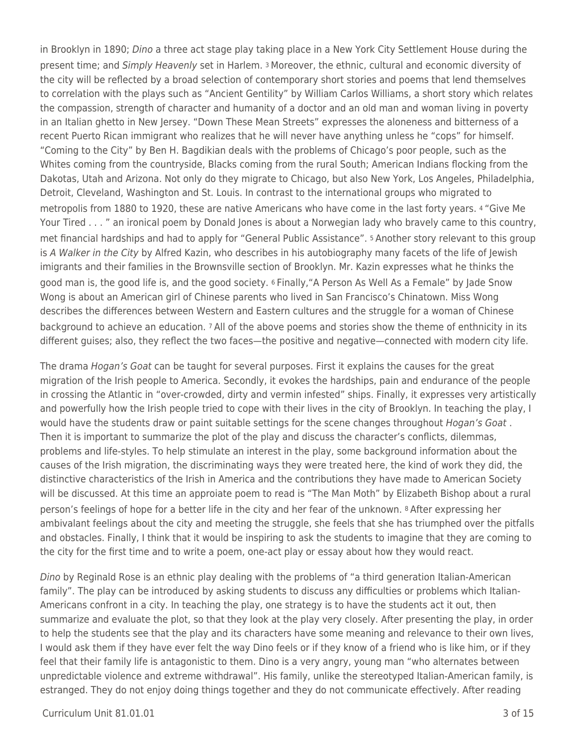in Brooklyn in 1890; Dino a three act stage play taking place in a New York City Settlement House during the present time; and Simply Heavenly set in Harlem. 3 Moreover, the ethnic, cultural and economic diversity of the city will be reflected by a broad selection of contemporary short stories and poems that lend themselves to correlation with the plays such as "Ancient Gentility" by William Carlos Williams, a short story which relates the compassion, strength of character and humanity of a doctor and an old man and woman living in poverty in an Italian ghetto in New Jersey. "Down These Mean Streets" expresses the aloneness and bitterness of a recent Puerto Rican immigrant who realizes that he will never have anything unless he "cops" for himself. "Coming to the City" by Ben H. Bagdikian deals with the problems of Chicago's poor people, such as the Whites coming from the countryside, Blacks coming from the rural South; American Indians flocking from the Dakotas, Utah and Arizona. Not only do they migrate to Chicago, but also New York, Los Angeles, Philadelphia, Detroit, Cleveland, Washington and St. Louis. In contrast to the international groups who migrated to metropolis from 1880 to 1920, these are native Americans who have come in the last forty years. 4 "Give Me Your Tired . . . " an ironical poem by Donald Jones is about a Norwegian lady who bravely came to this country, met financial hardships and had to apply for "General Public Assistance". 5 Another story relevant to this group is A Walker in the City by Alfred Kazin, who describes in his autobiography many facets of the life of Jewish imigrants and their families in the Brownsville section of Brooklyn. Mr. Kazin expresses what he thinks the good man is, the good life is, and the good society. 6 Finally,"A Person As Well As a Female" by Jade Snow Wong is about an American girl of Chinese parents who lived in San Francisco's Chinatown. Miss Wong describes the differences between Western and Eastern cultures and the struggle for a woman of Chinese background to achieve an education. 7 All of the above poems and stories show the theme of enthnicity in its different guises; also, they reflect the two faces—the positive and negative—connected with modern city life.

The drama Hogan's Goat can be taught for several purposes. First it explains the causes for the great migration of the Irish people to America. Secondly, it evokes the hardships, pain and endurance of the people in crossing the Atlantic in "over-crowded, dirty and vermin infested" ships. Finally, it expresses very artistically and powerfully how the Irish people tried to cope with their lives in the city of Brooklyn. In teaching the play, I would have the students draw or paint suitable settings for the scene changes throughout Hogan's Goat. Then it is important to summarize the plot of the play and discuss the character's conflicts, dilemmas, problems and life-styles. To help stimulate an interest in the play, some background information about the causes of the Irish migration, the discriminating ways they were treated here, the kind of work they did, the distinctive characteristics of the Irish in America and the contributions they have made to American Society will be discussed. At this time an approiate poem to read is "The Man Moth" by Elizabeth Bishop about a rural person's feelings of hope for a better life in the city and her fear of the unknown. 8 After expressing her ambivalant feelings about the city and meeting the struggle, she feels that she has triumphed over the pitfalls and obstacles. Finally, I think that it would be inspiring to ask the students to imagine that they are coming to the city for the first time and to write a poem, one-act play or essay about how they would react.

Dino by Reginald Rose is an ethnic play dealing with the problems of "a third generation Italian-American family". The play can be introduced by asking students to discuss any difficulties or problems which Italian-Americans confront in a city. In teaching the play, one strategy is to have the students act it out, then summarize and evaluate the plot, so that they look at the play very closely. After presenting the play, in order to help the students see that the play and its characters have some meaning and relevance to their own lives, I would ask them if they have ever felt the way Dino feels or if they know of a friend who is like him, or if they feel that their family life is antagonistic to them. Dino is a very angry, young man "who alternates between unpredictable violence and extreme withdrawal". His family, unlike the stereotyped Italian-American family, is estranged. They do not enjoy doing things together and they do not communicate effectively. After reading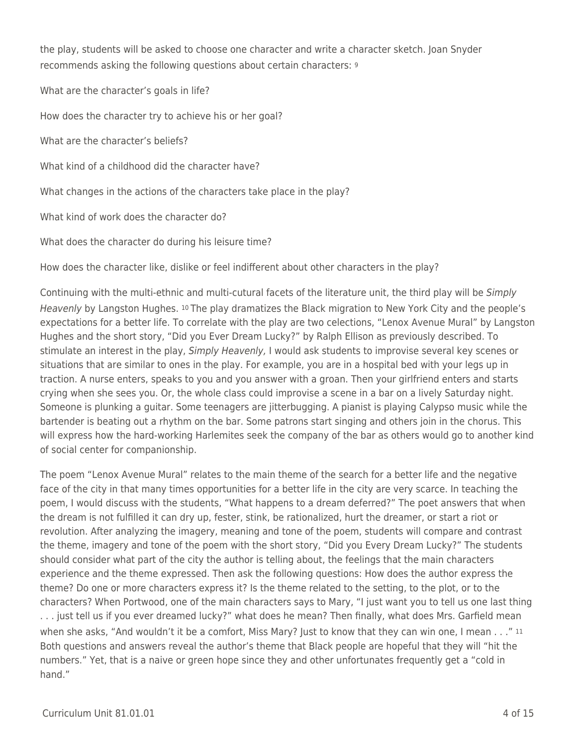the play, students will be asked to choose one character and write a character sketch. Joan Snyder recommends asking the following questions about certain characters: <sup>9</sup>

What are the character's goals in life? How does the character try to achieve his or her goal? What are the character's beliefs? What kind of a childhood did the character have? What changes in the actions of the characters take place in the play? What kind of work does the character do? What does the character do during his leisure time?

How does the character like, dislike or feel indifferent about other characters in the play?

Continuing with the multi-ethnic and multi-cutural facets of the literature unit, the third play will be Simply Heavenly by Langston Hughes. 10 The play dramatizes the Black migration to New York City and the people's expectations for a better life. To correlate with the play are two celections, "Lenox Avenue Mural" by Langston Hughes and the short story, "Did you Ever Dream Lucky?" by Ralph Ellison as previously described. To stimulate an interest in the play, Simply Heavenly, I would ask students to improvise several key scenes or situations that are similar to ones in the play. For example, you are in a hospital bed with your legs up in traction. A nurse enters, speaks to you and you answer with a groan. Then your girlfriend enters and starts crying when she sees you. Or, the whole class could improvise a scene in a bar on a lively Saturday night. Someone is plunking a guitar. Some teenagers are jitterbugging. A pianist is playing Calypso music while the bartender is beating out a rhythm on the bar. Some patrons start singing and others join in the chorus. This will express how the hard-working Harlemites seek the company of the bar as others would go to another kind of social center for companionship.

The poem "Lenox Avenue Mural" relates to the main theme of the search for a better life and the negative face of the city in that many times opportunities for a better life in the city are very scarce. In teaching the poem, I would discuss with the students, "What happens to a dream deferred?" The poet answers that when the dream is not fulfilled it can dry up, fester, stink, be rationalized, hurt the dreamer, or start a riot or revolution. After analyzing the imagery, meaning and tone of the poem, students will compare and contrast the theme, imagery and tone of the poem with the short story, "Did you Every Dream Lucky?" The students should consider what part of the city the author is telling about, the feelings that the main characters experience and the theme expressed. Then ask the following questions: How does the author express the theme? Do one or more characters express it? Is the theme related to the setting, to the plot, or to the characters? When Portwood, one of the main characters says to Mary, "I just want you to tell us one last thing . . . just tell us if you ever dreamed lucky?" what does he mean? Then finally, what does Mrs. Garfield mean when she asks, "And wouldn't it be a comfort, Miss Mary? Just to know that they can win one, I mean . . ." 11 Both questions and answers reveal the author's theme that Black people are hopeful that they will "hit the numbers." Yet, that is a naive or green hope since they and other unfortunates frequently get a "cold in hand."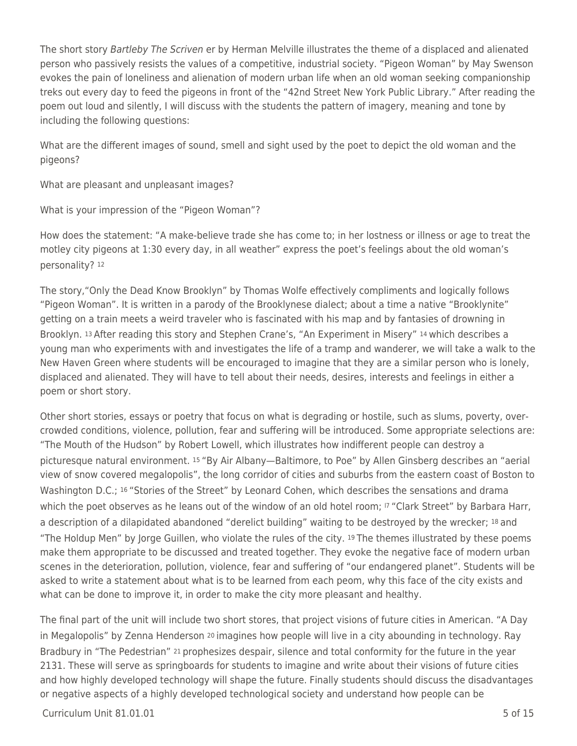The short story Bartleby The Scriven er by Herman Melville illustrates the theme of a displaced and alienated person who passively resists the values of a competitive, industrial society. "Pigeon Woman" by May Swenson evokes the pain of loneliness and alienation of modern urban life when an old woman seeking companionship treks out every day to feed the pigeons in front of the "42nd Street New York Public Library." After reading the poem out loud and silently, I will discuss with the students the pattern of imagery, meaning and tone by including the following questions:

What are the different images of sound, smell and sight used by the poet to depict the old woman and the pigeons?

What are pleasant and unpleasant images?

What is your impression of the "Pigeon Woman"?

How does the statement: "A make-believe trade she has come to; in her lostness or illness or age to treat the motley city pigeons at 1:30 every day, in all weather" express the poet's feelings about the old woman's personality? <sup>12</sup>

The story,"Only the Dead Know Brooklyn" by Thomas Wolfe effectively compliments and logically follows "Pigeon Woman". It is written in a parody of the Brooklynese dialect; about a time a native "Brooklynite" getting on a train meets a weird traveler who is fascinated with his map and by fantasies of drowning in Brooklyn. 13 After reading this story and Stephen Crane's, "An Experiment in Misery" 14 which describes a young man who experiments with and investigates the life of a tramp and wanderer, we will take a walk to the New Haven Green where students will be encouraged to imagine that they are a similar person who is lonely, displaced and alienated. They will have to tell about their needs, desires, interests and feelings in either a poem or short story.

Other short stories, essays or poetry that focus on what is degrading or hostile, such as slums, poverty, overcrowded conditions, violence, pollution, fear and suffering will be introduced. Some appropriate selections are: "The Mouth of the Hudson" by Robert Lowell, which illustrates how indifferent people can destroy a picturesque natural environment. 15 "By Air Albany—Baltimore, to Poe" by Allen Ginsberg describes an "aerial view of snow covered megalopolis", the long corridor of cities and suburbs from the eastern coast of Boston to Washington D.C.; 16 "Stories of the Street" by Leonard Cohen, which describes the sensations and drama which the poet observes as he leans out of the window of an old hotel room; <sup>17</sup> "Clark Street" by Barbara Harr, a description of a dilapidated abandoned "derelict building" waiting to be destroyed by the wrecker; 18 and "The Holdup Men" by Jorge Guillen, who violate the rules of the city. 19 The themes illustrated by these poems make them appropriate to be discussed and treated together. They evoke the negative face of modern urban scenes in the deterioration, pollution, violence, fear and suffering of "our endangered planet". Students will be asked to write a statement about what is to be learned from each peom, why this face of the city exists and what can be done to improve it, in order to make the city more pleasant and healthy.

The final part of the unit will include two short stores, that project visions of future cities in American. "A Day in Megalopolis" by Zenna Henderson <sup>20</sup> imagines how people will live in a city abounding in technology. Ray Bradbury in "The Pedestrian" 21 prophesizes despair, silence and total conformity for the future in the year 2131. These will serve as springboards for students to imagine and write about their visions of future cities and how highly developed technology will shape the future. Finally students should discuss the disadvantages or negative aspects of a highly developed technological society and understand how people can be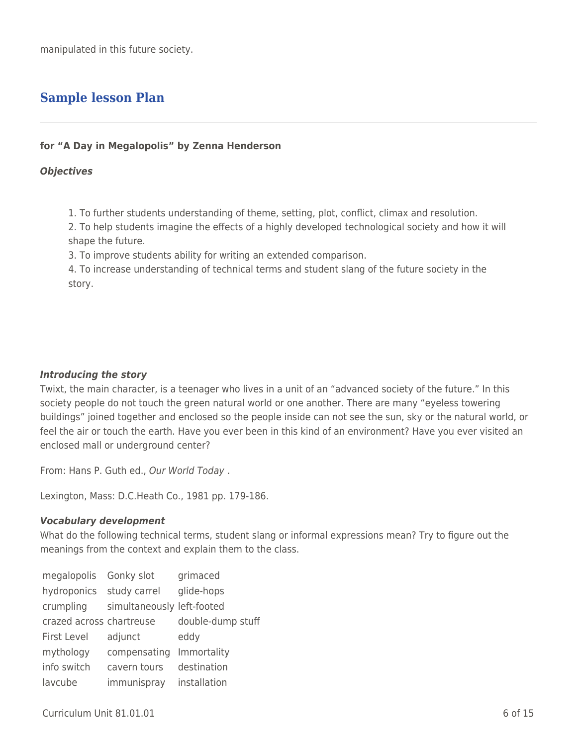# **Sample lesson Plan**

#### **for "A Day in Megalopolis" by Zenna Henderson**

#### *Objectives*

1. To further students understanding of theme, setting, plot, conflict, climax and resolution.

2. To help students imagine the effects of a highly developed technological society and how it will shape the future.

3. To improve students ability for writing an extended comparison.

4. To increase understanding of technical terms and student slang of the future society in the story.

#### *Introducing the story*

Twixt, the main character, is a teenager who lives in a unit of an "advanced society of the future." In this society people do not touch the green natural world or one another. There are many "eyeless towering buildings" joined together and enclosed so the people inside can not see the sun, sky or the natural world, or feel the air or touch the earth. Have you ever been in this kind of an environment? Have you ever visited an enclosed mall or underground center?

From: Hans P. Guth ed., Our World Today .

Lexington, Mass: D.C.Heath Co., 1981 pp. 179-186.

#### *Vocabulary development*

What do the following technical terms, student slang or informal expressions mean? Try to figure out the meanings from the context and explain them to the class.

| megalopolis Gonky slot   |                            | grimaced          |
|--------------------------|----------------------------|-------------------|
| hydroponics study carrel |                            | glide-hops        |
| crumpling                | simultaneously left-footed |                   |
| crazed across chartreuse |                            | double-dump stuff |
| <b>First Level</b>       | adjunct                    | eddy              |
| mythology                | compensating               | Immortality       |
| info switch              | cavern tours               | destination       |
| lavcube                  | immunispray                | installation      |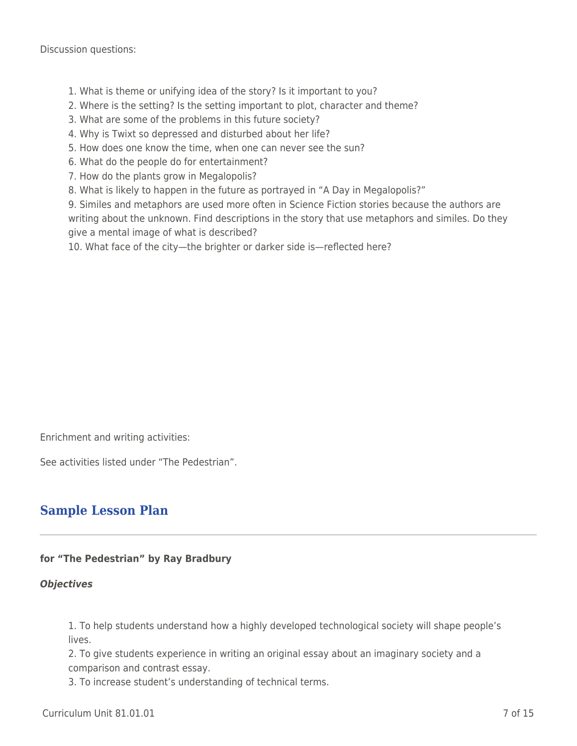Discussion questions:

- 1. What is theme or unifying idea of the story? Is it important to you?
- 2. Where is the setting? Is the setting important to plot, character and theme?
- 3. What are some of the problems in this future society?
- 4. Why is Twixt so depressed and disturbed about her life?
- 5. How does one know the time, when one can never see the sun?
- 6. What do the people do for entertainment?
- 7. How do the plants grow in Megalopolis?
- 8. What is likely to happen in the future as portrayed in "A Day in Megalopolis?"

9. Similes and metaphors are used more often in Science Fiction stories because the authors are writing about the unknown. Find descriptions in the story that use metaphors and similes. Do they give a mental image of what is described?

10. What face of the city—the brighter or darker side is—reflected here?

Enrichment and writing activities:

See activities listed under "The Pedestrian".

### **Sample Lesson Plan**

#### **for "The Pedestrian" by Ray Bradbury**

#### *Objectives*

1. To help students understand how a highly developed technological society will shape people's lives.

2. To give students experience in writing an original essay about an imaginary society and a comparison and contrast essay.

3. To increase student's understanding of technical terms.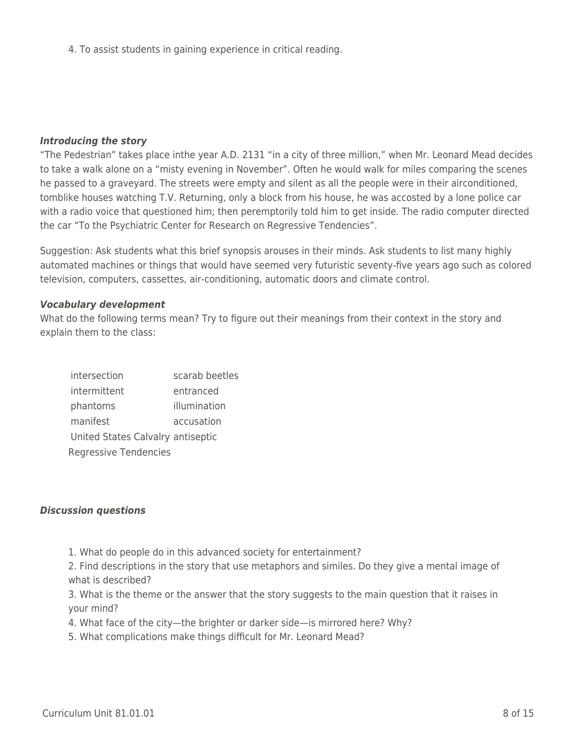4. To assist students in gaining experience in critical reading.

#### *Introducing the story*

"The Pedestrian" takes place inthe year A.D. 2131 "in a city of three million," when Mr. Leonard Mead decides to take a walk alone on a "misty evening in November". Often he would walk for miles comparing the scenes he passed to a graveyard. The streets were empty and silent as all the people were in their airconditioned, tomblike houses watching T.V. Returning, only a block from his house, he was accosted by a lone police car with a radio voice that questioned him; then peremptorily told him to get inside. The radio computer directed the car "To the Psychiatric Center for Research on Regressive Tendencies".

Suggestion: Ask students what this brief synopsis arouses in their minds. Ask students to list many highly automated machines or things that would have seemed very futuristic seventy-five years ago such as colored television, computers, cassettes, air-conditioning, automatic doors and climate control.

#### *Vocabulary development*

What do the following terms mean? Try to figure out their meanings from their context in the story and explain them to the class:

| intersection |                                   | scarab beetles |
|--------------|-----------------------------------|----------------|
| intermittent |                                   | entranced      |
| phantoms     |                                   | illumination   |
| manifest     |                                   | accusation     |
|              | United States Calvalry antiseptic |                |
|              | Regressive Tendencies             |                |

#### *Discussion questions*

1. What do people do in this advanced society for entertainment?

2. Find descriptions in the story that use metaphors and similes. Do they give a mental image of what is described?

3. What is the theme or the answer that the story suggests to the main question that it raises in your mind?

- 4. What face of the city—the brighter or darker side—is mirrored here? Why?
- 5. What complications make things difficult for Mr. Leonard Mead?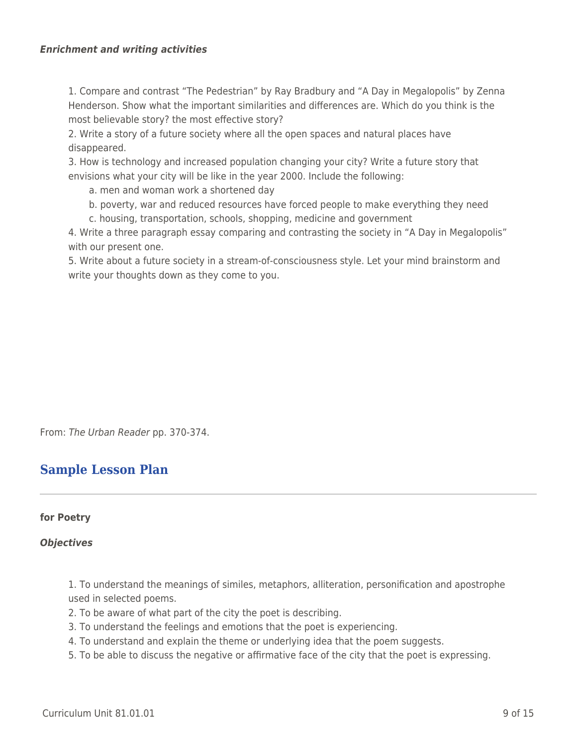1. Compare and contrast "The Pedestrian" by Ray Bradbury and "A Day in Megalopolis" by Zenna Henderson. Show what the important similarities and differences are. Which do you think is the most believable story? the most effective story?

2. Write a story of a future society where all the open spaces and natural places have disappeared.

3. How is technology and increased population changing your city? Write a future story that envisions what your city will be like in the year 2000. Include the following:

a. men and woman work a shortened day

- \_\_\_\_ b. poverty, war and reduced resources have forced people to make everything they need
- \_\_\_\_ c. housing, transportation, schools, shopping, medicine and government

4. Write a three paragraph essay comparing and contrasting the society in "A Day in Megalopolis" with our present one.

5. Write about a future society in a stream-of-consciousness style. Let your mind brainstorm and write your thoughts down as they come to you.

From: The Urban Reader pp. 370-374.

### **Sample Lesson Plan**

#### **for Poetry**

#### *Objectives*

1. To understand the meanings of similes, metaphors, alliteration, personification and apostrophe used in selected poems.

- 2. To be aware of what part of the city the poet is describing.
- 3. To understand the feelings and emotions that the poet is experiencing.
- 4. To understand and explain the theme or underlying idea that the poem suggests.
- 5. To be able to discuss the negative or affirmative face of the city that the poet is expressing.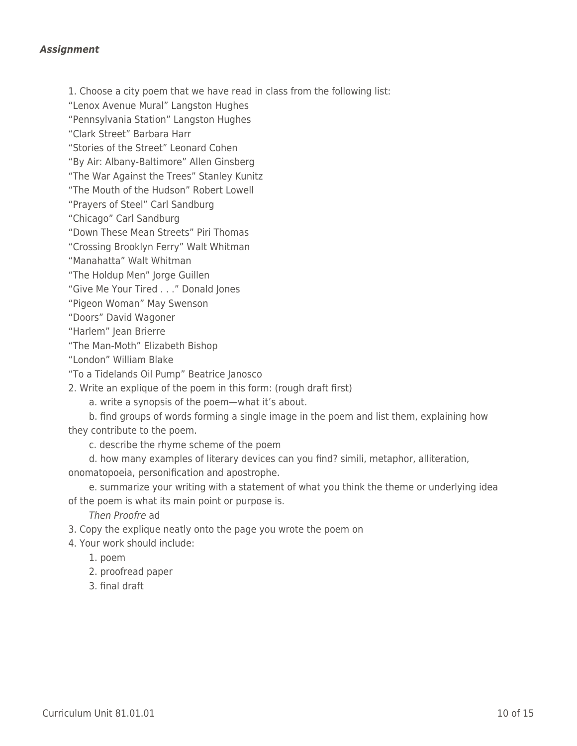#### *Assignment*

1. Choose a city poem that we have read in class from the following list:

"Lenox Avenue Mural" Langston Hughes

"Pennsylvania Station" Langston Hughes

"Clark Street" Barbara Harr

"Stories of the Street" Leonard Cohen

"By Air: Albany-Baltimore" Allen Ginsberg

"The War Against the Trees" Stanley Kunitz

"The Mouth of the Hudson" Robert Lowell

"Prayers of Steel" Carl Sandburg

"Chicago" Carl Sandburg

"Down These Mean Streets" Piri Thomas

"Crossing Brooklyn Ferry" Walt Whitman

"Manahatta" Walt Whitman

"The Holdup Men" Jorge Guillen

"Give Me Your Tired . . ." Donald Jones

"Pigeon Woman" May Swenson

"Doors" David Wagoner

"Harlem" Jean Brierre

"The Man-Moth" Elizabeth Bishop

"London" William Blake

"To a Tidelands Oil Pump" Beatrice Janosco

2. Write an explique of the poem in this form: (rough draft first)

a. write a synopsis of the poem—what it's about.

b. find groups of words forming a single image in the poem and list them, explaining how they contribute to the poem.

\_\_\_\_ c. describe the rhyme scheme of the poem

\_\_\_\_ d. how many examples of literary devices can you find? simili, metaphor, alliteration, onomatopoeia, personification and apostrophe.

e. summarize your writing with a statement of what you think the theme or underlying idea of the poem is what its main point or purpose is.

Then Proofre ad

3. Copy the explique neatly onto the page you wrote the poem on

4. Your work should include:

\_\_\_\_ 1. poem

2. proofread paper

\_\_\_\_ 3. final draft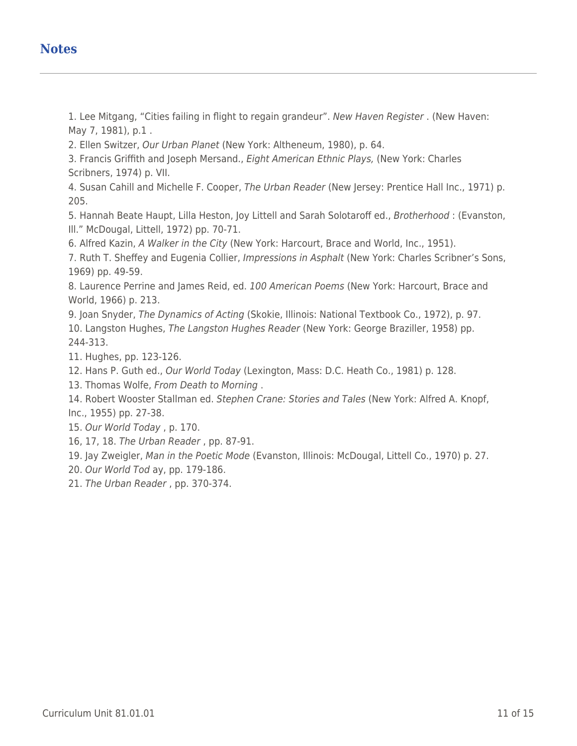# **Notes**

1. Lee Mitgang, "Cities failing in flight to regain grandeur". New Haven Register . (New Haven: May 7, 1981), p.1 .

2. Ellen Switzer, Our Urban Planet (New York: Altheneum, 1980), p. 64.

3. Francis Griffith and Joseph Mersand., Eight American Ethnic Plays, (New York: Charles Scribners, 1974) p. VII.

4. Susan Cahill and Michelle F. Cooper, The Urban Reader (New Jersey: Prentice Hall Inc., 1971) p. 205.

5. Hannah Beate Haupt, Lilla Heston, Joy Littell and Sarah Solotaroff ed., Brotherhood : (Evanston, Ill." McDougal, Littell, 1972) pp. 70-71.

6. Alfred Kazin, A Walker in the City (New York: Harcourt, Brace and World, Inc., 1951).

7. Ruth T. Sheffey and Eugenia Collier, Impressions in Asphalt (New York: Charles Scribner's Sons, 1969) pp. 49-59.

8. Laurence Perrine and James Reid, ed. 100 American Poems (New York: Harcourt, Brace and World, 1966) p. 213.

9. Joan Snyder, The Dynamics of Acting (Skokie, Illinois: National Textbook Co., 1972), p. 97. 10. Langston Hughes, The Langston Hughes Reader (New York: George Braziller, 1958) pp. 244-313.

11. Hughes, pp. 123-126.

12. Hans P. Guth ed., Our World Today (Lexington, Mass: D.C. Heath Co., 1981) p. 128.

13. Thomas Wolfe, From Death to Morning .

14. Robert Wooster Stallman ed. Stephen Crane: Stories and Tales (New York: Alfred A. Knopf, Inc., 1955) pp. 27-38.

15. Our World Today , p. 170.

16, 17, 18. The Urban Reader , pp. 87-91.

19. Jay Zweigler, Man in the Poetic Mode (Evanston, Illinois: McDougal, Littell Co., 1970) p. 27.

20. Our World Tod ay, pp. 179-186.

21. The Urban Reader , pp. 370-374.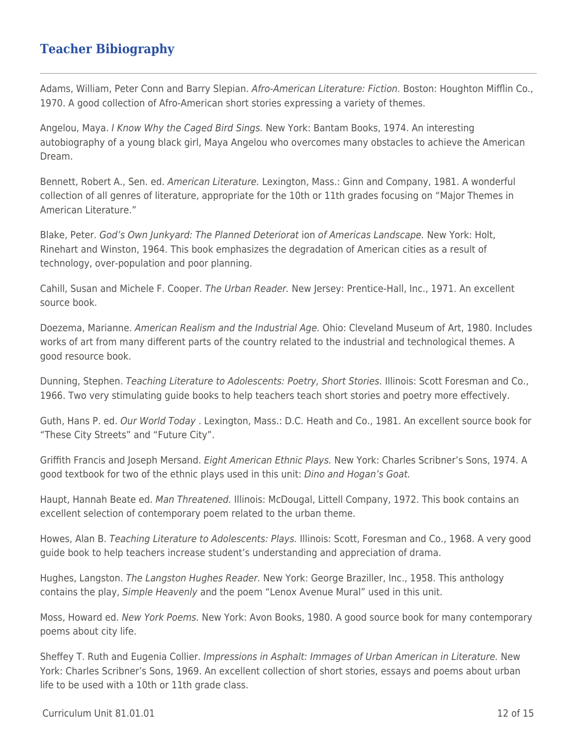# **Teacher Bibiography**

Adams, William, Peter Conn and Barry Slepian. Afro-American Literature: Fiction. Boston: Houghton Mifflin Co., 1970. A good collection of Afro-American short stories expressing a variety of themes.

Angelou, Maya. I Know Why the Caged Bird Sings. New York: Bantam Books, 1974. An interesting autobiography of a young black girl, Maya Angelou who overcomes many obstacles to achieve the American Dream.

Bennett, Robert A., Sen. ed. American Literature. Lexington, Mass.: Ginn and Company, 1981. A wonderful collection of all genres of literature, appropriate for the 10th or 11th grades focusing on "Major Themes in American Literature."

Blake, Peter. God's Own Junkyard: The Planned Deteriorat ion of Americas Landscape. New York: Holt, Rinehart and Winston, 1964. This book emphasizes the degradation of American cities as a result of technology, over-population and poor planning.

Cahill, Susan and Michele F. Cooper. The Urban Reader. New Jersey: Prentice-Hall, Inc., 1971. An excellent source book.

Doezema, Marianne. American Realism and the Industrial Age. Ohio: Cleveland Museum of Art, 1980. Includes works of art from many different parts of the country related to the industrial and technological themes. A good resource book.

Dunning, Stephen. Teaching Literature to Adolescents: Poetry, Short Stories. Illinois: Scott Foresman and Co., 1966. Two very stimulating guide books to help teachers teach short stories and poetry more effectively.

Guth, Hans P. ed. Our World Today . Lexington, Mass.: D.C. Heath and Co., 1981. An excellent source book for "These City Streets" and "Future City".

Griffith Francis and Joseph Mersand. Eight American Ethnic Plays. New York: Charles Scribner's Sons, 1974. A good textbook for two of the ethnic plays used in this unit: *Dino and Hogan's Goat.* 

Haupt, Hannah Beate ed. Man Threatened. Illinois: McDougal, Littell Company, 1972. This book contains an excellent selection of contemporary poem related to the urban theme.

Howes, Alan B. Teaching Literature to Adolescents: Plays. Illinois: Scott, Foresman and Co., 1968. A very good guide book to help teachers increase student's understanding and appreciation of drama.

Hughes, Langston. The Langston Hughes Reader. New York: George Braziller, Inc., 1958. This anthology contains the play, Simple Heavenly and the poem "Lenox Avenue Mural" used in this unit.

Moss, Howard ed. New York Poems. New York: Avon Books, 1980. A good source book for many contemporary poems about city life.

Sheffey T. Ruth and Eugenia Collier. Impressions in Asphalt: Immages of Urban American in Literature. New York: Charles Scribner's Sons, 1969. An excellent collection of short stories, essays and poems about urban life to be used with a 10th or 11th grade class.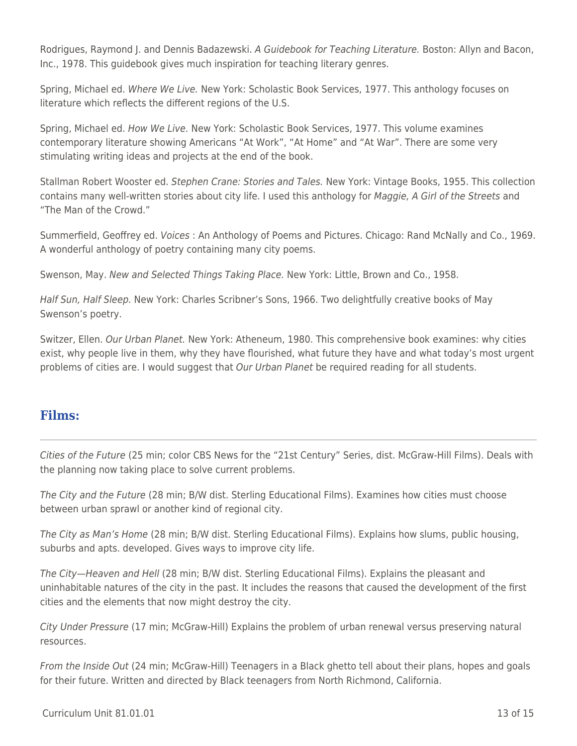Rodrigues, Raymond J. and Dennis Badazewski. A Guidebook for Teaching Literature. Boston: Allyn and Bacon, Inc., 1978. This guidebook gives much inspiration for teaching literary genres.

Spring, Michael ed. Where We Live. New York: Scholastic Book Services, 1977. This anthology focuses on literature which reflects the different regions of the U.S.

Spring, Michael ed. How We Live. New York: Scholastic Book Services, 1977. This volume examines contemporary literature showing Americans "At Work", "At Home" and "At War". There are some very stimulating writing ideas and projects at the end of the book.

Stallman Robert Wooster ed. Stephen Crane: Stories and Tales. New York: Vintage Books, 1955. This collection contains many well-written stories about city life. I used this anthology for Maggie, A Girl of the Streets and "The Man of the Crowd."

Summerfield, Geoffrey ed. Voices : An Anthology of Poems and Pictures. Chicago: Rand McNally and Co., 1969. A wonderful anthology of poetry containing many city poems.

Swenson, May. New and Selected Things Taking Place. New York: Little, Brown and Co., 1958.

Half Sun, Half Sleep. New York: Charles Scribner's Sons, 1966. Two delightfully creative books of May Swenson's poetry.

Switzer, Ellen. Our Urban Planet. New York: Atheneum, 1980. This comprehensive book examines: why cities exist, why people live in them, why they have flourished, what future they have and what today's most urgent problems of cities are. I would suggest that Our Urban Planet be required reading for all students.

### **Films:**

Cities of the Future (25 min; color CBS News for the "21st Century" Series, dist. McGraw-Hill Films). Deals with the planning now taking place to solve current problems.

The City and the Future (28 min; B/W dist. Sterling Educational Films). Examines how cities must choose between urban sprawl or another kind of regional city.

The City as Man's Home (28 min; B/W dist. Sterling Educational Films). Explains how slums, public housing, suburbs and apts. developed. Gives ways to improve city life.

The City—Heaven and Hell (28 min; B/W dist. Sterling Educational Films). Explains the pleasant and uninhabitable natures of the city in the past. It includes the reasons that caused the development of the first cities and the elements that now might destroy the city.

City Under Pressure (17 min; McGraw-Hill) Explains the problem of urban renewal versus preserving natural resources.

From the Inside Out (24 min; McGraw-Hill) Teenagers in a Black ghetto tell about their plans, hopes and goals for their future. Written and directed by Black teenagers from North Richmond, California.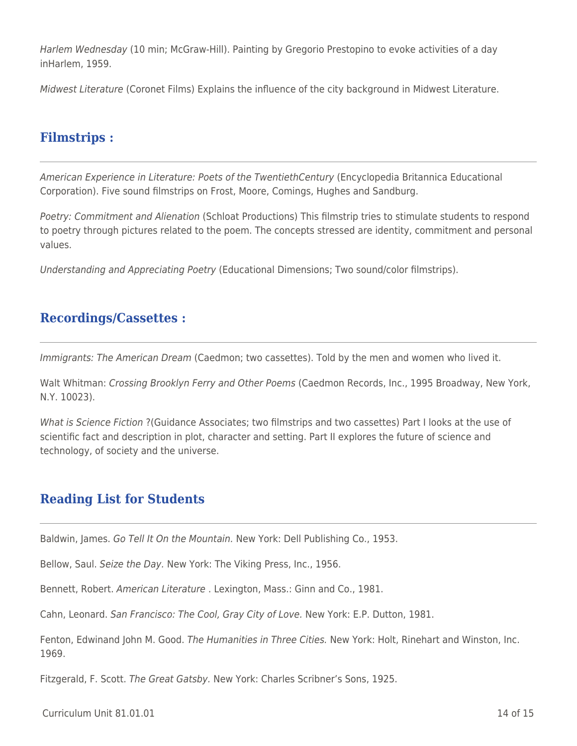Harlem Wednesday (10 min; McGraw-Hill). Painting by Gregorio Prestopino to evoke activities of a day inHarlem, 1959.

Midwest Literature (Coronet Films) Explains the influence of the city background in Midwest Literature.

### **Filmstrips :**

American Experience in Literature: Poets of the TwentiethCentury (Encyclopedia Britannica Educational Corporation). Five sound filmstrips on Frost, Moore, Comings, Hughes and Sandburg.

Poetry: Commitment and Alienation (Schloat Productions) This filmstrip tries to stimulate students to respond to poetry through pictures related to the poem. The concepts stressed are identity, commitment and personal values.

Understanding and Appreciating Poetry (Educational Dimensions; Two sound/color filmstrips).

### **Recordings/Cassettes :**

Immigrants: The American Dream (Caedmon; two cassettes). Told by the men and women who lived it.

Walt Whitman: Crossing Brooklyn Ferry and Other Poems (Caedmon Records, Inc., 1995 Broadway, New York, N.Y. 10023).

What is Science Fiction ? (Guidance Associates; two filmstrips and two cassettes) Part I looks at the use of scientific fact and description in plot, character and setting. Part II explores the future of science and technology, of society and the universe.

# **Reading List for Students**

Baldwin, James. Go Tell It On the Mountain. New York: Dell Publishing Co., 1953.

Bellow, Saul. Seize the Day. New York: The Viking Press, Inc., 1956.

Bennett, Robert. American Literature . Lexington, Mass.: Ginn and Co., 1981.

Cahn, Leonard. San Francisco: The Cool, Gray City of Love. New York: E.P. Dutton, 1981.

Fenton, Edwinand John M. Good. The Humanities in Three Cities. New York: Holt, Rinehart and Winston, Inc. 1969.

Fitzgerald, F. Scott. The Great Gatsby. New York: Charles Scribner's Sons, 1925.

 $C$ urriculum Unit 81.01.01 14 of 15